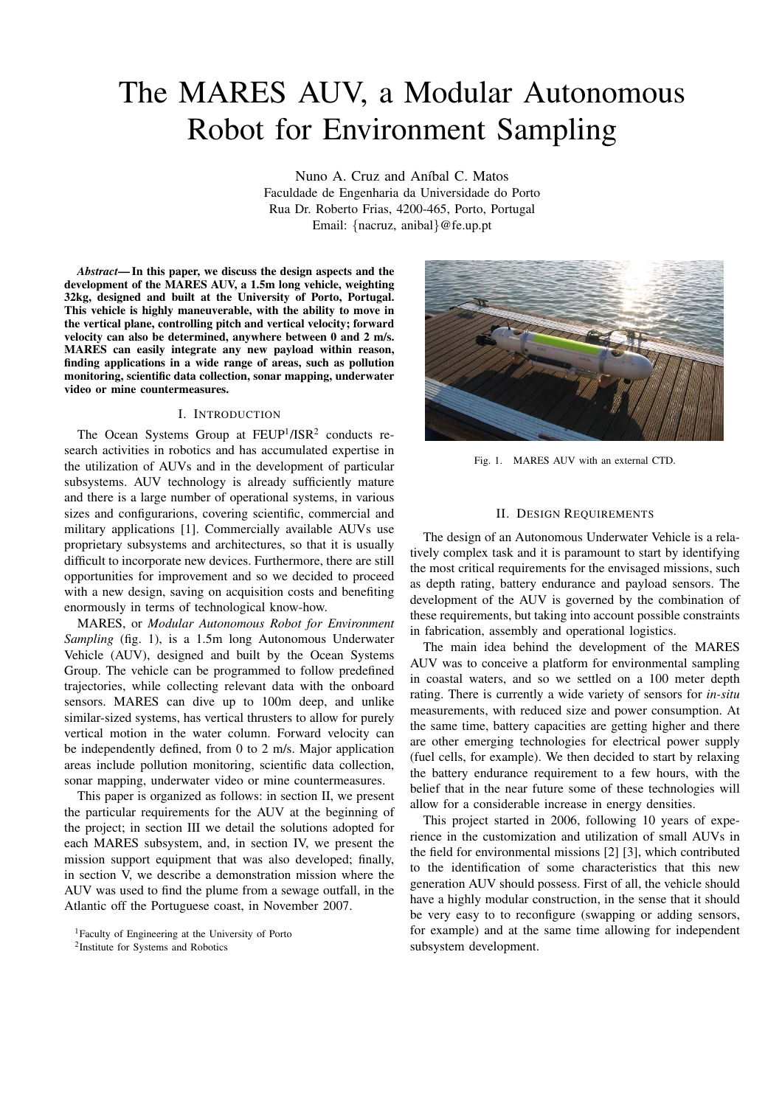# The MARES AUV, a Modular Autonomous Robot for Environment Sampling

Nuno A. Cruz and Aníbal C. Matos Faculdade de Engenharia da Universidade do Porto Rua Dr. Roberto Frias, 4200-465, Porto, Portugal Email: *{*nacruz, anibal*}*@fe.up.pt

*Abstract***— In this paper, we discuss the design aspects and the development of the MARES AUV, a 1.5m long vehicle, weighting 32kg, designed and built at the University of Porto, Portugal. This vehicle is highly maneuverable, with the ability to move in the vertical plane, controlling pitch and vertical velocity; forward velocity can also be determined, anywhere between 0 and 2 m/s. MARES can easily integrate any new payload within reason, finding applications in a wide range of areas, such as pollution monitoring, scientific data collection, sonar mapping, underwater video or mine countermeasures.**

### I. INTRODUCTION

The Ocean Systems Group at  $FEDP<sup>1</sup>/ISR<sup>2</sup>$  conducts research activities in robotics and has accumulated expertise in the utilization of AUVs and in the development of particular subsystems. AUV technology is already sufficiently mature and there is a large number of operational systems, in various sizes and configurarions, covering scientific, commercial and military applications [1]. Commercially available AUVs use proprietary subsystems and architectures, so that it is usually difficult to incorporate new devices. Furthermore, there are still opportunities for improvement and so we decided to proceed with a new design, saving on acquisition costs and benefiting enormously in terms of technological know-how.

MARES, or *Modular Autonomous Robot for Environment Sampling* (fig. 1), is a 1.5m long Autonomous Underwater Vehicle (AUV), designed and built by the Ocean Systems Group. The vehicle can be programmed to follow predefined trajectories, while collecting relevant data with the onboard sensors. MARES can dive up to 100m deep, and unlike similar-sized systems, has vertical thrusters to allow for purely vertical motion in the water column. Forward velocity can be independently defined, from 0 to 2 m/s. Major application areas include pollution monitoring, scientific data collection, sonar mapping, underwater video or mine countermeasures.

This paper is organized as follows: in section II, we present the particular requirements for the AUV at the beginning of the project; in section III we detail the solutions adopted for each MARES subsystem, and, in section IV, we present the mission support equipment that was also developed; finally, in section V, we describe a demonstration mission where the AUV was used to find the plume from a sewage outfall, in the Atlantic off the Portuguese coast, in November 2007.

2Institute for Systems and Robotics



Fig. 1. MARES AUV with an external CTD.

#### II. DESIGN REQUIREMENTS

The design of an Autonomous Underwater Vehicle is a relatively complex task and it is paramount to start by identifying the most critical requirements for the envisaged missions, such as depth rating, battery endurance and payload sensors. The development of the AUV is governed by the combination of these requirements, but taking into account possible constraints in fabrication, assembly and operational logistics.

The main idea behind the development of the MARES AUV was to conceive a platform for environmental sampling in coastal waters, and so we settled on a 100 meter depth rating. There is currently a wide variety of sensors for *in-situ* measurements, with reduced size and power consumption. At the same time, battery capacities are getting higher and there are other emerging technologies for electrical power supply (fuel cells, for example). We then decided to start by relaxing the battery endurance requirement to a few hours, with the belief that in the near future some of these technologies will allow for a considerable increase in energy densities.

This project started in 2006, following 10 years of experience in the customization and utilization of small AUVs in the field for environmental missions [2] [3], which contributed to the identification of some characteristics that this new generation AUV should possess. First of all, the vehicle should have a highly modular construction, in the sense that it should be very easy to to reconfigure (swapping or adding sensors, for example) and at the same time allowing for independent subsystem development.

<sup>1</sup>Faculty of Engineering at the University of Porto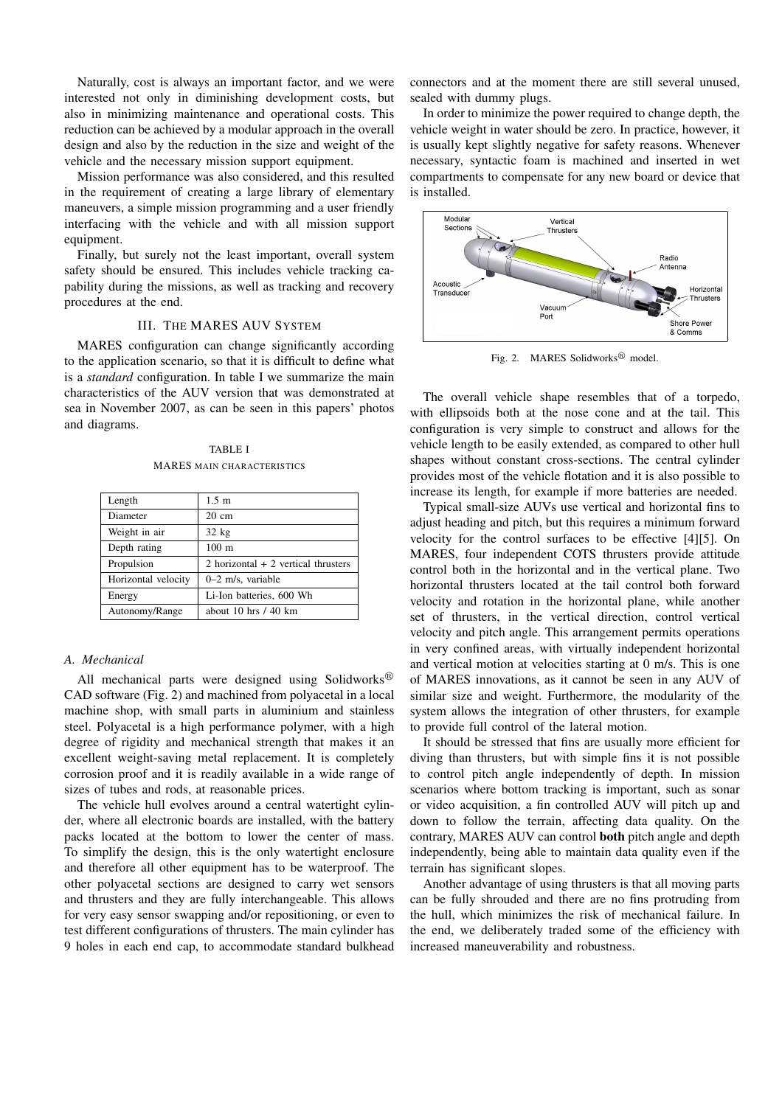Naturally, cost is always an important factor, and we were interested not only in diminishing development costs, but also in minimizing maintenance and operational costs. This reduction can be achieved by a modular approach in the overall design and also by the reduction in the size and weight of the vehicle and the necessary mission support equipment.

Mission performance was also considered, and this resulted in the requirement of creating a large library of elementary maneuvers, a simple mission programming and a user friendly interfacing with the vehicle and with all mission support equipment.

Finally, but surely not the least important, overall system safety should be ensured. This includes vehicle tracking capability during the missions, as well as tracking and recovery procedures at the end.

# III. THE MARES AUV SYSTEM

MARES configuration can change significantly according to the application scenario, so that it is difficult to define what is a *standard* configuration. In table I we summarize the main characteristics of the AUV version that was demonstrated at sea in November 2007, as can be seen in this papers' photos and diagrams.

TABLE I MARES MAIN CHARACTERISTICS

| Length              | $1.5 \text{ m}$                      |
|---------------------|--------------------------------------|
| Diameter            | $20 \text{ cm}$                      |
| Weight in air       | $32$ kg                              |
| Depth rating        | $100 \text{ m}$                      |
| Propulsion          | 2 horizontal $+2$ vertical thrusters |
| Horizontal velocity | $0-2$ m/s, variable                  |
| Energy              | Li-Ion batteries, 600 Wh             |
| Autonomy/Range      | about 10 hrs $/$ 40 km               |

### *A. Mechanical*

All mechanical parts were designed using Solidworks $^{\circledR}$ CAD software (Fig. 2) and machined from polyacetal in a local machine shop, with small parts in aluminium and stainless steel. Polyacetal is a high performance polymer, with a high degree of rigidity and mechanical strength that makes it an excellent weight-saving metal replacement. It is completely corrosion proof and it is readily available in a wide range of sizes of tubes and rods, at reasonable prices.

The vehicle hull evolves around a central watertight cylinder, where all electronic boards are installed, with the battery packs located at the bottom to lower the center of mass. To simplify the design, this is the only watertight enclosure and therefore all other equipment has to be waterproof. The other polyacetal sections are designed to carry wet sensors and thrusters and they are fully interchangeable. This allows for very easy sensor swapping and/or repositioning, or even to test different configurations of thrusters. The main cylinder has 9 holes in each end cap, to accommodate standard bulkhead

connectors and at the moment there are still several unused, sealed with dummy plugs.

In order to minimize the power required to change depth, the vehicle weight in water should be zero. In practice, however, it is usually kept slightly negative for safety reasons. Whenever necessary, syntactic foam is machined and inserted in wet compartments to compensate for any new board or device that is installed.



Fig. 2. MARES Solidworks<sup>®</sup> model.

The overall vehicle shape resembles that of a torpedo, with ellipsoids both at the nose cone and at the tail. This configuration is very simple to construct and allows for the vehicle length to be easily extended, as compared to other hull shapes without constant cross-sections. The central cylinder provides most of the vehicle flotation and it is also possible to increase its length, for example if more batteries are needed.

Typical small-size AUVs use vertical and horizontal fins to adjust heading and pitch, but this requires a minimum forward velocity for the control surfaces to be effective [4][5]. On MARES, four independent COTS thrusters provide attitude control both in the horizontal and in the vertical plane. Two horizontal thrusters located at the tail control both forward velocity and rotation in the horizontal plane, while another set of thrusters, in the vertical direction, control vertical velocity and pitch angle. This arrangement permits operations in very confined areas, with virtually independent horizontal and vertical motion at velocities starting at 0 m/s. This is one of MARES innovations, as it cannot be seen in any AUV of similar size and weight. Furthermore, the modularity of the system allows the integration of other thrusters, for example to provide full control of the lateral motion.

It should be stressed that fins are usually more efficient for diving than thrusters, but with simple fins it is not possible to control pitch angle independently of depth. In mission scenarios where bottom tracking is important, such as sonar or video acquisition, a fin controlled AUV will pitch up and down to follow the terrain, affecting data quality. On the contrary, MARES AUV can control **both** pitch angle and depth independently, being able to maintain data quality even if the terrain has significant slopes.

Another advantage of using thrusters is that all moving parts can be fully shrouded and there are no fins protruding from the hull, which minimizes the risk of mechanical failure. In the end, we deliberately traded some of the efficiency with increased maneuverability and robustness.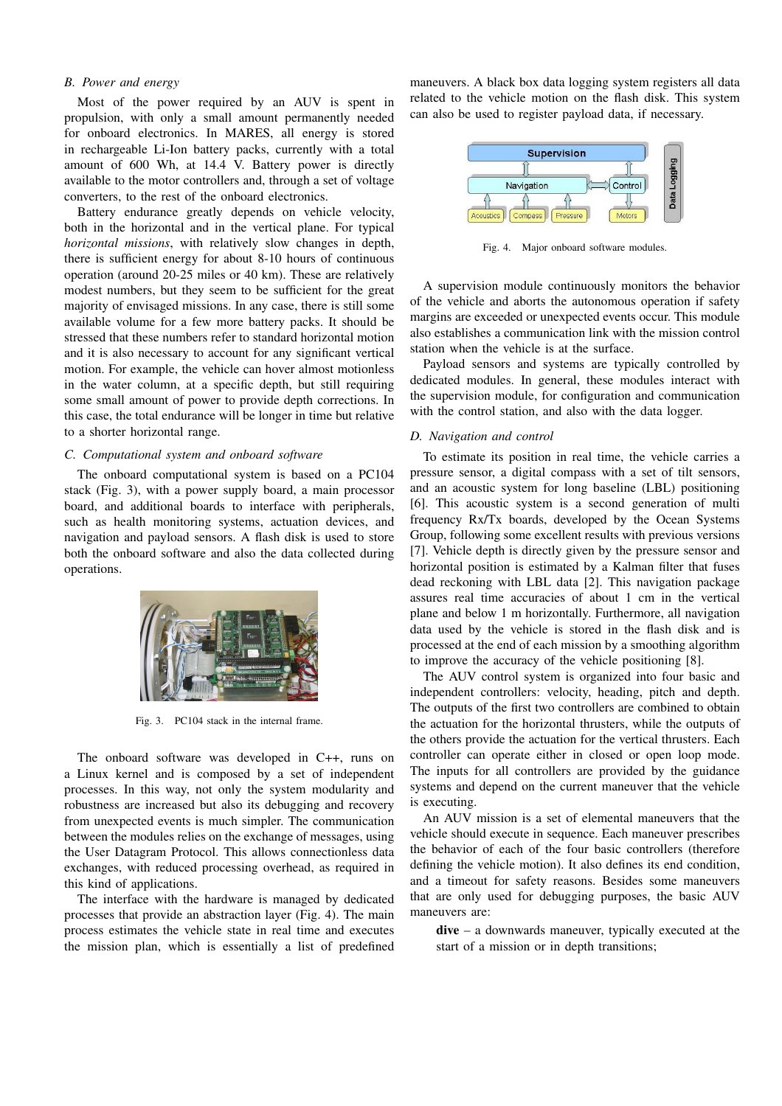# *B. Power and energy*

Most of the power required by an AUV is spent in propulsion, with only a small amount permanently needed for onboard electronics. In MARES, all energy is stored in rechargeable Li-Ion battery packs, currently with a total amount of 600 Wh, at 14.4 V. Battery power is directly available to the motor controllers and, through a set of voltage converters, to the rest of the onboard electronics.

Battery endurance greatly depends on vehicle velocity, both in the horizontal and in the vertical plane. For typical *horizontal missions*, with relatively slow changes in depth, there is sufficient energy for about 8-10 hours of continuous operation (around 20-25 miles or 40 km). These are relatively modest numbers, but they seem to be sufficient for the great majority of envisaged missions. In any case, there is still some available volume for a few more battery packs. It should be stressed that these numbers refer to standard horizontal motion and it is also necessary to account for any significant vertical motion. For example, the vehicle can hover almost motionless in the water column, at a specific depth, but still requiring some small amount of power to provide depth corrections. In this case, the total endurance will be longer in time but relative to a shorter horizontal range.

#### *C. Computational system and onboard software*

The onboard computational system is based on a PC104 stack (Fig. 3), with a power supply board, a main processor board, and additional boards to interface with peripherals, such as health monitoring systems, actuation devices, and navigation and payload sensors. A flash disk is used to store both the onboard software and also the data collected during operations.



Fig. 3. PC104 stack in the internal frame.

The onboard software was developed in C++, runs on a Linux kernel and is composed by a set of independent processes. In this way, not only the system modularity and robustness are increased but also its debugging and recovery from unexpected events is much simpler. The communication between the modules relies on the exchange of messages, using the User Datagram Protocol. This allows connectionless data exchanges, with reduced processing overhead, as required in this kind of applications.

The interface with the hardware is managed by dedicated processes that provide an abstraction layer (Fig. 4). The main process estimates the vehicle state in real time and executes the mission plan, which is essentially a list of predefined maneuvers. A black box data logging system registers all data related to the vehicle motion on the flash disk. This system can also be used to register payload data, if necessary.



Fig. 4. Major onboard software modules.

A supervision module continuously monitors the behavior of the vehicle and aborts the autonomous operation if safety margins are exceeded or unexpected events occur. This module also establishes a communication link with the mission control station when the vehicle is at the surface.

Payload sensors and systems are typically controlled by dedicated modules. In general, these modules interact with the supervision module, for configuration and communication with the control station, and also with the data logger.

#### *D. Navigation and control*

To estimate its position in real time, the vehicle carries a pressure sensor, a digital compass with a set of tilt sensors, and an acoustic system for long baseline (LBL) positioning [6]. This acoustic system is a second generation of multi frequency Rx/Tx boards, developed by the Ocean Systems Group, following some excellent results with previous versions [7]. Vehicle depth is directly given by the pressure sensor and horizontal position is estimated by a Kalman filter that fuses dead reckoning with LBL data [2]. This navigation package assures real time accuracies of about 1 cm in the vertical plane and below 1 m horizontally. Furthermore, all navigation data used by the vehicle is stored in the flash disk and is processed at the end of each mission by a smoothing algorithm to improve the accuracy of the vehicle positioning [8].

The AUV control system is organized into four basic and independent controllers: velocity, heading, pitch and depth. The outputs of the first two controllers are combined to obtain the actuation for the horizontal thrusters, while the outputs of the others provide the actuation for the vertical thrusters. Each controller can operate either in closed or open loop mode. The inputs for all controllers are provided by the guidance systems and depend on the current maneuver that the vehicle is executing.

An AUV mission is a set of elemental maneuvers that the vehicle should execute in sequence. Each maneuver prescribes the behavior of each of the four basic controllers (therefore defining the vehicle motion). It also defines its end condition, and a timeout for safety reasons. Besides some maneuvers that are only used for debugging purposes, the basic AUV maneuvers are:

**dive** – a downwards maneuver, typically executed at the start of a mission or in depth transitions;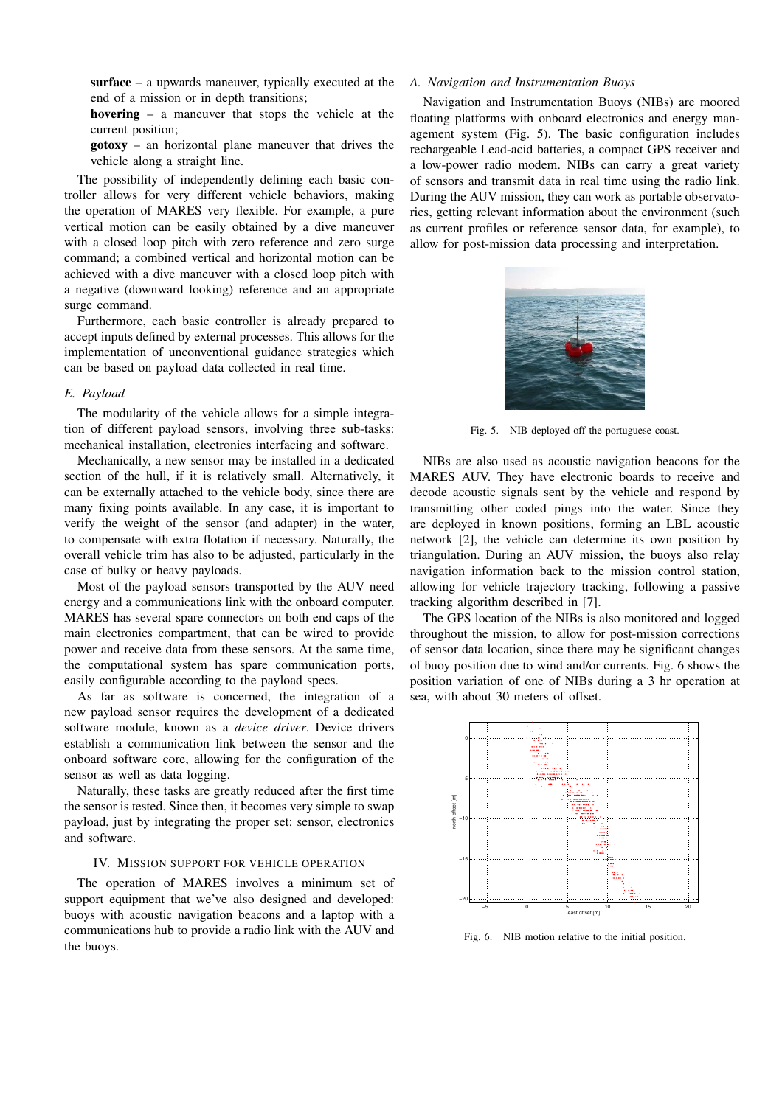**surface** – a upwards maneuver, typically executed at the end of a mission or in depth transitions;

**hovering** – a maneuver that stops the vehicle at the current position;

**gotoxy** – an horizontal plane maneuver that drives the vehicle along a straight line.

The possibility of independently defining each basic controller allows for very different vehicle behaviors, making the operation of MARES very flexible. For example, a pure vertical motion can be easily obtained by a dive maneuver with a closed loop pitch with zero reference and zero surge command; a combined vertical and horizontal motion can be achieved with a dive maneuver with a closed loop pitch with a negative (downward looking) reference and an appropriate surge command.

Furthermore, each basic controller is already prepared to accept inputs defined by external processes. This allows for the implementation of unconventional guidance strategies which can be based on payload data collected in real time.

#### *E. Payload*

The modularity of the vehicle allows for a simple integration of different payload sensors, involving three sub-tasks: mechanical installation, electronics interfacing and software.

Mechanically, a new sensor may be installed in a dedicated section of the hull, if it is relatively small. Alternatively, it can be externally attached to the vehicle body, since there are many fixing points available. In any case, it is important to verify the weight of the sensor (and adapter) in the water, to compensate with extra flotation if necessary. Naturally, the overall vehicle trim has also to be adjusted, particularly in the case of bulky or heavy payloads.

Most of the payload sensors transported by the AUV need energy and a communications link with the onboard computer. MARES has several spare connectors on both end caps of the main electronics compartment, that can be wired to provide power and receive data from these sensors. At the same time, the computational system has spare communication ports, easily configurable according to the payload specs.

As far as software is concerned, the integration of a new payload sensor requires the development of a dedicated software module, known as a *device driver*. Device drivers establish a communication link between the sensor and the onboard software core, allowing for the configuration of the sensor as well as data logging.

Naturally, these tasks are greatly reduced after the first time the sensor is tested. Since then, it becomes very simple to swap payload, just by integrating the proper set: sensor, electronics and software.

## IV. MISSION SUPPORT FOR VEHICLE OPERATION

The operation of MARES involves a minimum set of support equipment that we've also designed and developed: buoys with acoustic navigation beacons and a laptop with a communications hub to provide a radio link with the AUV and the buoys.

# *A. Navigation and Instrumentation Buoys*

Navigation and Instrumentation Buoys (NIBs) are moored floating platforms with onboard electronics and energy management system (Fig. 5). The basic configuration includes rechargeable Lead-acid batteries, a compact GPS receiver and a low-power radio modem. NIBs can carry a great variety of sensors and transmit data in real time using the radio link. During the AUV mission, they can work as portable observatories, getting relevant information about the environment (such as current profiles or reference sensor data, for example), to allow for post-mission data processing and interpretation.



Fig. 5. NIB deployed off the portuguese coast.

NIBs are also used as acoustic navigation beacons for the MARES AUV. They have electronic boards to receive and decode acoustic signals sent by the vehicle and respond by transmitting other coded pings into the water. Since they are deployed in known positions, forming an LBL acoustic network [2], the vehicle can determine its own position by triangulation. During an AUV mission, the buoys also relay navigation information back to the mission control station, allowing for vehicle trajectory tracking, following a passive tracking algorithm described in [7].

The GPS location of the NIBs is also monitored and logged throughout the mission, to allow for post-mission corrections of sensor data location, since there may be significant changes of buoy position due to wind and/or currents. Fig. 6 shows the position variation of one of NIBs during a 3 hr operation at sea, with about 30 meters of offset.



Fig. 6. NIB motion relative to the initial position.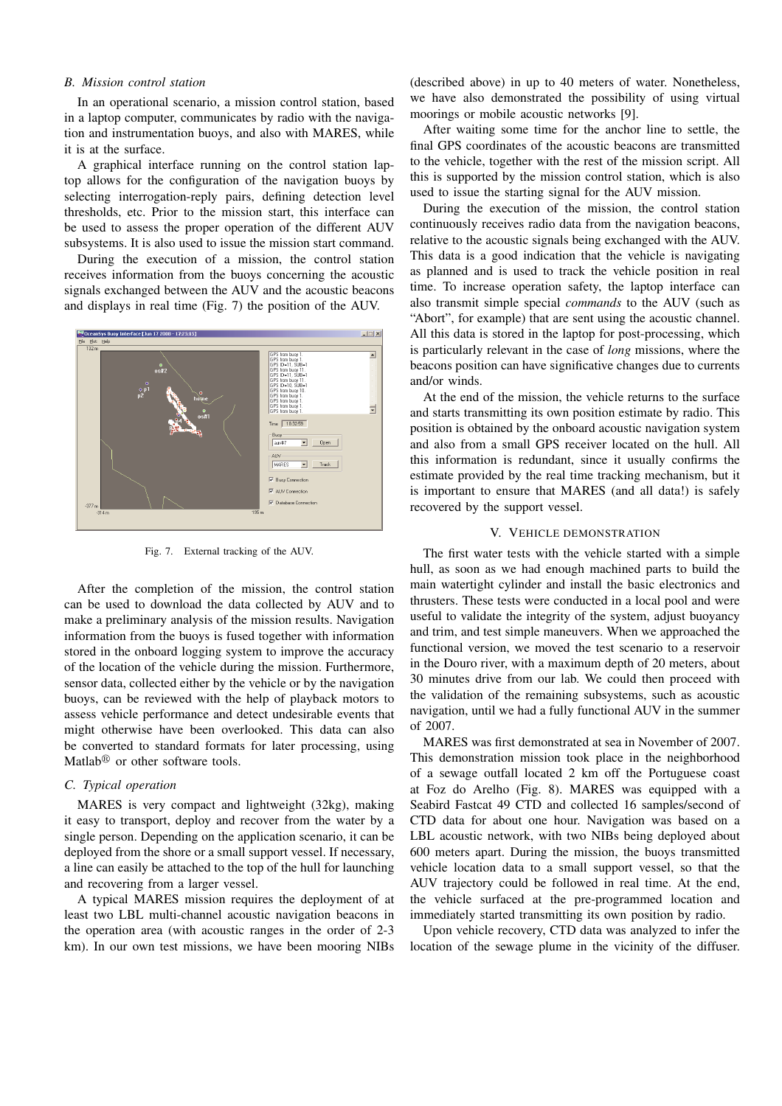### *B. Mission control station*

In an operational scenario, a mission control station, based in a laptop computer, communicates by radio with the navigation and instrumentation buoys, and also with MARES, while it is at the surface.

A graphical interface running on the control station laptop allows for the configuration of the navigation buoys by selecting interrogation-reply pairs, defining detection level thresholds, etc. Prior to the mission start, this interface can be used to assess the proper operation of the different AUV subsystems. It is also used to issue the mission start command.

During the execution of a mission, the control station receives information from the buoys concerning the acoustic signals exchanged between the AUV and the acoustic beacons and displays in real time (Fig. 7) the position of the AUV.



Fig. 7. External tracking of the AUV.

After the completion of the mission, the control station can be used to download the data collected by AUV and to make a preliminary analysis of the mission results. Navigation information from the buoys is fused together with information stored in the onboard logging system to improve the accuracy of the location of the vehicle during the mission. Furthermore, sensor data, collected either by the vehicle or by the navigation buoys, can be reviewed with the help of playback motors to assess vehicle performance and detect undesirable events that might otherwise have been overlooked. This data can also be converted to standard formats for later processing, using Matlab $\mathbb{B}$  or other software tools.

# *C. Typical operation*

MARES is very compact and lightweight (32kg), making it easy to transport, deploy and recover from the water by a single person. Depending on the application scenario, it can be deployed from the shore or a small support vessel. If necessary, a line can easily be attached to the top of the hull for launching and recovering from a larger vessel.

A typical MARES mission requires the deployment of at least two LBL multi-channel acoustic navigation beacons in the operation area (with acoustic ranges in the order of 2-3 km). In our own test missions, we have been mooring NIBs (described above) in up to 40 meters of water. Nonetheless, we have also demonstrated the possibility of using virtual moorings or mobile acoustic networks [9].

After waiting some time for the anchor line to settle, the final GPS coordinates of the acoustic beacons are transmitted to the vehicle, together with the rest of the mission script. All this is supported by the mission control station, which is also used to issue the starting signal for the AUV mission.

During the execution of the mission, the control station continuously receives radio data from the navigation beacons, relative to the acoustic signals being exchanged with the AUV. This data is a good indication that the vehicle is navigating as planned and is used to track the vehicle position in real time. To increase operation safety, the laptop interface can also transmit simple special *commands* to the AUV (such as "Abort", for example) that are sent using the acoustic channel. All this data is stored in the laptop for post-processing, which is particularly relevant in the case of *long* missions, where the beacons position can have significative changes due to currents and/or winds.

At the end of the mission, the vehicle returns to the surface and starts transmitting its own position estimate by radio. This position is obtained by the onboard acoustic navigation system and also from a small GPS receiver located on the hull. All this information is redundant, since it usually confirms the estimate provided by the real time tracking mechanism, but it is important to ensure that MARES (and all data!) is safely recovered by the support vessel.

#### V. VEHICLE DEMONSTRATION

The first water tests with the vehicle started with a simple hull, as soon as we had enough machined parts to build the main watertight cylinder and install the basic electronics and thrusters. These tests were conducted in a local pool and were useful to validate the integrity of the system, adjust buoyancy and trim, and test simple maneuvers. When we approached the functional version, we moved the test scenario to a reservoir in the Douro river, with a maximum depth of 20 meters, about 30 minutes drive from our lab. We could then proceed with the validation of the remaining subsystems, such as acoustic navigation, until we had a fully functional AUV in the summer of 2007.

MARES was first demonstrated at sea in November of 2007. This demonstration mission took place in the neighborhood of a sewage outfall located 2 km off the Portuguese coast at Foz do Arelho (Fig. 8). MARES was equipped with a Seabird Fastcat 49 CTD and collected 16 samples/second of CTD data for about one hour. Navigation was based on a LBL acoustic network, with two NIBs being deployed about 600 meters apart. During the mission, the buoys transmitted vehicle location data to a small support vessel, so that the AUV trajectory could be followed in real time. At the end, the vehicle surfaced at the pre-programmed location and immediately started transmitting its own position by radio.

Upon vehicle recovery, CTD data was analyzed to infer the location of the sewage plume in the vicinity of the diffuser.